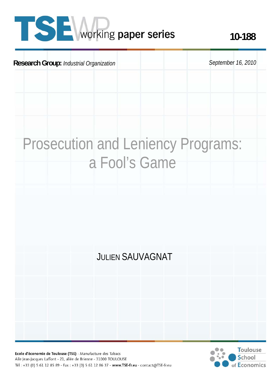# **TISE** working paper series

# **Research Group:** *Industrial Organization* September 16, 2010 Prosecution and Leniency Programs: a Fool's Game JULIEN SAUVAGNAT

Ecole d'économie de Toulouse (TSE) - Manufacture des Tabacs Aile Jean-Jacques Laffont - 21, allée de Brienne - 31000 TOULOUSE Tél: +33 (0) 5 61 12 85 89 - Fax: +33 (0) 5 61 12 86 37 - www.TSE-fr.eu - contact@TSE-fr.eu

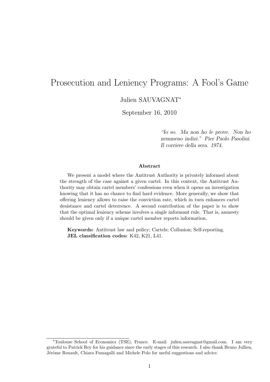# Prosecution and Leniency Programs: A Fool's Game

Julien SAUVAGNAT<sup>∗</sup>

September 16, 2010

"Io so. Ma non ho le prove. Non ho nemmeno indizi." Pier Paolo Pasolini. Il corriere della sera. 1974.

#### Abstract

We present a model where the Antitrust Authority is privately informed about the strength of the case against a given cartel. In this context, the Antitrust Authority may obtain cartel members' confessions even when it opens an investigation knowing that it has no chance to find hard evidence. More generally, we show that offering leniency allows to raise the conviction rate, which in turn enhances cartel desistance and cartel deterrence. A second contribution of the paper is to show that the optimal leniency scheme involves a single informant rule. That is, amnesty should be given only if a unique cartel member reports information.

Keywords: Antitrust law and policy; Cartels; Collusion; Self-reporting. JEL classification codes: K42, K21, L41.

<sup>∗</sup>Toulouse School of Economics (TSE), France. E-mail: julien.sauvagnat@gmail.com. I am very grateful to Patrick Rey for his guidance since the early stages of this research. I also thank Bruno Jullien, Jérôme Renault, Chiara Fumagalli and Michele Polo for useful suggestions and advice.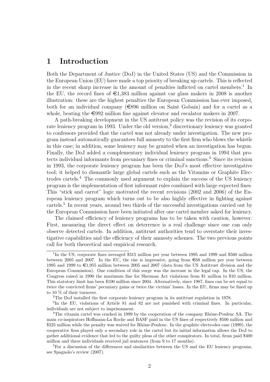# 1 Introduction

Both the Department of Justice (DoJ) in the United States (US) and the Commission in the European Union (EU) have made a top priority of breaking up cartels. This is reflected in the recent sharp increase in the amount of penalties inflicted on cartel members.<sup>1</sup> In the EU, the record fines of  $\epsilon$ 1,383 million against car glass makers in 2008 is another illustration: these are the highest penalties the European Commission has ever imposed, both for an individual company  $(\epsilon 896$  million on Saint Gobain) and for a cartel as a whole, beating the  $\epsilon$ 992 million fine against elevator and escalator makers in 2007.

A path-breaking development in the US antitrust policy was the revision of its corporate leniency program in 1993. Under the old version,<sup>2</sup> discretionary leniency was granted to confessors provided that the cartel was not already under investigation. The new program instead automatically guarantees full amnesty to the first firm who blows the whistle in this case; in addition, some leniency may be granted when an investigation has begun. Finally, the DoJ added a complementary individual leniency program in 1994 that protects individual informants from pecuniary fines or criminal sanctions.<sup>3</sup> Since its revision in 1993, the corporate leniency program has been the DoJ's most effective investigative tool; it helped to dismantle large global cartels such as the Vitamins or Graphite Electrodes cartels.<sup>4</sup> The commonly used argument to explain the success of the US leniency program is the implementation of first informant rules combined with large expected fines. This "stick and carrot" logic motivated the recent revisions (2002 and 2006) of the European leniency program which turns out to be also highly effective in fighting against cartels.<sup>5</sup> In recent years, around two thirds of the successful investigations carried out by the European Commission have been initiated after one cartel member asked for leniency.

The claimed efficiency of leniency programs has to be taken with caution, however. First, measuring the direct effect on deterrence is a real challenge since one can only observe detected cartels. In addition, antitrust authorities tend to overstate their investigative capabilities and the efficiency of their amnesty schemes. The two previous points call for both theoretical and empirical research.

<sup>&</sup>lt;sup>1</sup>In the US, corporate fines averaged \$315 million per year between 1995 and 1999 and \$560 million between 2005 and 2007. In the EU, the rise is impressive, going from  $\epsilon$ 68 million per year between 1995 and 1999 to  $\epsilon$ 1,955 million between 2005 and 2007 (data from the US Antitrust division and the European Commission). One condition of this surge was the increase in the legal cap. In the US, the Congress raised in 1990 the maximum fine for Sherman Act violations from \$1 million to \$10 million. This statutory limit has been \$100 million since 2004. Alternatively, since 1987, fines can be set equal to twice the convicted firms' pecuniary gains or twice the victims' losses. In the EU, firms may be fined up to 10 % of their turnover.

<sup>2</sup>The DoJ installed the first corporate leniency program in its antitrust regulation in 1978.

<sup>&</sup>lt;sup>3</sup>In the EU, violations of Article 81 and 82 are not punished with criminal fines. In particular, individuals are not subject to imprisonment.

<sup>&</sup>lt;sup>4</sup>The vitamin cartel was cracked in 1999 by the cooperation of the company Rhône-Poulenc SA. The main co-inspirators Hoffmann-La Roche and BASF paid in the US fines of respectively \$500 million and \$225 million while the penalty was waived for Rhône-Poulenc. In the graphite electrodes case (1999), the cooperative firm played only a secondary role in the cartel but its initial information allows the DoJ to gather additional evidence that led to the guilty pleas of the other conspirators. In total, firms paid \$400 million and three individuals received jail sentences (from 9 to 17 months).

<sup>&</sup>lt;sup>5</sup>For a discussion of the differences and similarities between the US and the EU leniency programs, see Spagnolo's review (2007).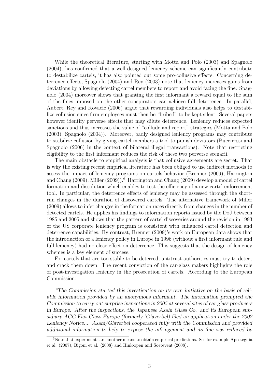While the theoretical literature, starting with Motta and Polo (2003) and Spagnolo (2004), has confirmed that a well-designed leniency scheme can significantly contribute to destabilize cartels, it has also pointed out some pro-collusive effects. Concerning deterrence effects, Spagnolo (2004) and Rey (2003) note that leniency increases gains from deviations by allowing defecting cartel members to report and avoid facing the fine. Spagnolo (2004) moreover shows that granting the first informant a reward equal to the sum of the fines imposed on the other conspirators can achieve full deterrence. In parallel, Aubert, Rey and Kovacic (2006) argue that rewarding individuals also helps to destabilize collusion since firm employees must then be "bribed" to be kept silent. Several papers however identify perverse effects that may dilute deterrence. Leniency reduces expected sanctions and thus increases the value of "collude and report" strategies (Motta and Polo (2003), Spagnolo (2004)). Moreover, badly designed leniency programs may contribute to stabilize collusion by giving cartel members a tool to punish deviators (Buccirossi and Spagnolo (2006) in the context of bilateral illegal transactions). Note that restricting eligibility to the first informant reduces the risk of these two perverse scenarii.

The main obstacle to empirical analysis is that collusive agreements are secret. That is why the existing recent empirical literature has been obliged to use indirect methods to assess the impact of leniency programs on cartels behavior (Brenner (2009), Harrington and Chang (2009), Miller (2009)).<sup>6</sup> Harrington and Chang (2009) develop a model of cartel formation and dissolution which enables to test the efficiency of a new cartel enforcement tool. In particular, the deterrence effects of leniency may be assessed through the shortrun changes in the duration of discovered cartels. The alternative framework of Miller (2009) allows to infer changes in the formation rates directly from changes in the number of detected cartels. He applies his findings to information reports issued by the DoJ between 1985 and 2005 and shows that the pattern of cartel discoveries around the revision in 1993 of the US corporate leniency program is consistent with enhanced cartel detection and deterrence capabilities. By contrast, Brenner (2009)'s work on European data shows that the introduction of a leniency policy in Europe in 1996 (without a first informant rule and full leniency) had no clear effect on deterrence. This suggests that the design of leniency schemes is a key element of success.

For cartels that are too stable to be deterred, antitrust authorities must try to detect and crack them down. The recent conviction of the car-glass makers highlights the role of post-investigation leniency in the prosecution of cartels. According to the European Commission:

"The Commission started this investigation on its own initiative on the basis of reliable information provided by an anonymous informant. The information prompted the Commission to carry out surprise inspections in 2005 at several sites of car glass producers in Europe. After the inspections, the Japanese Asahi Glass Co. and its European subsidiary AGC Flat Glass Europe (formerly 'Glaverbel) filed an application under the 2002 Leniency Notice.... Asahi/Glaverbel cooperated fully with the Commission and provided additional information to help to expose the infringement and its fine was reduced by

<sup>&</sup>lt;sup>6</sup>Note that experiments are another means to obtain empirical predictions. See for example Apesteguia et al. (2007), Bigoni et al. (2008) and Hinloopen and Soetevent (2008).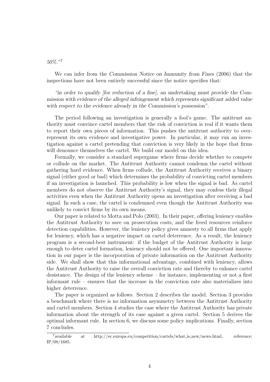#### 50%."<sup>7</sup>

We can infer from the Commission Notice on Immunity from Fines (2006) that the inspections have not been entirely successful since the notice specifies that:

"in order to qualify [for reduction of a fine], an undertaking must provide the Commission with evidence of the alleged infringement which represents significant added value with respect to the evidence already in the Commission's possession".

The period following an investigation is generally a fool's game. The antitrust authority must convince cartel members that the risk of conviction is real if it wants them to report their own pieces of information. This pushes the antitrust authority to overrepresent its own evidence and investigative power. In particular, it may run an investigation against a cartel pretending that conviction is very likely in the hope that firms will denounce themselves the cartel. We build our model on this idea.

Formally, we consider a standard supergame where firms decide whether to compete or collude on the market. The Antitrust Authority cannot condemn the cartel without gathering hard evidence. When firms collude, the Antitrust Authority receives a binary signal (either good or bad) which determines the probability of convicting cartel members if an investigation is launched. This probability is low when the signal is bad. As cartel members do not observe the Antitrust Authority's signal, they may confess their illegal activities even when the Antitrust Authority opens an investigation after receiving a bad signal. In such a case, the cartel is condemned even though the Antitrust Authority was unlikely to convict firms by its own means.

Our paper is related to Motta and Polo (2003). In their paper, offering leniency enables the Antitrust Authority to save on prosecution costs, and the freed resources reinforce detection capabilities. However, the leniency policy gives amnesty to all firms that apply for leniency, which has a negative impact on cartel deterrence. As a result, the leniency program is a second-best instrument: if the budget of the Antitrust Authority is large enough to deter cartel formation, leniency should not be offered. One important innovation in our paper is the incorporation of private information on the Antitrust Authority side. We shall show that this informational advantage, combined with leniency, allows the Antitrust Authority to raise the overall conviction rate and thereby to enhance cartel desistance. The design of the leniency scheme – for instance, implementing or not a first informant rule – ensures that the increase in the conviction rate also materializes into higher deterrence.

The paper is organized as follows. Section 2 describes the model. Section 3 provides a benchmark where there is no information asymmetry between the Antitrust Authority and cartel members. Section 4 studies the case where the Antitrust Authority has private information about the strength of its case against a given cartel. Section 5 derives the optimal informant rule. In section 6, we discuss some policy implications. Finally, section 7 concludes.

 $^7$ available at http://ec.europa.eu/competition/cartels/what is new/news.html, reference: IP/08/1685.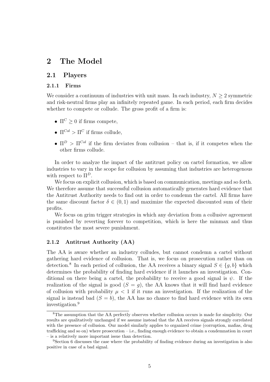# 2 The Model

#### 2.1 Players

#### 2.1.1 Firms

We consider a continuum of industries with unit mass. In each industry,  $N \geq 2$  symmetric and risk-neutral firms play an infinitely repeated game. In each period, each firm decides whether to compete or collude. The gross profit of a firm is:

- $\Pi^C \geq 0$  if firms compete,
- $\Pi^{Col} > \Pi^C$  if firms collude.
- $\Pi^D > \Pi^{Col}$  if the firm deviates from collusion that is, if it competes when the other firms collude.

In order to analyze the impact of the antitrust policy on cartel formation, we allow industries to vary in the scope for collusion by assuming that industries are heterogenous with respect to  $\Pi^D$ .

We focus on explicit collusion, which is based on communication, meetings and so forth. We therefore assume that successful collusion automatically generates hard evidence that the Antitrust Authority needs to find out in order to condemn the cartel. All firms have the same discount factor  $\delta \in (0,1)$  and maximize the expected discounted sum of their profits.

We focus on grim trigger strategies in which any deviation from a collusive agreement is punished by reverting forever to competition, which is here the minmax and thus constitutes the most severe punishment.

#### 2.1.2 Antitrust Authority (AA)

The AA is aware whether an industry colludes, but cannot condemn a cartel without gathering hard evidence of collusion. That is, we focus on prosecution rather than on detection.<sup>8</sup> In each period of collusion, the AA receives a binary signal  $S \in \{g, b\}$  which determines the probability of finding hard evidence if it launches an investigation. Conditional on there being a cartel, the probability to receive a good signal is  $\psi$ . If the realization of the signal is good  $(S = q)$ , the AA knows that it will find hard evidence of collusion with probability  $\mu < 1$  if it runs an investigation. If the realization of the signal is instead bad  $(S = b)$ , the AA has no chance to find hard evidence with its own investigation.<sup>9</sup>

<sup>&</sup>lt;sup>8</sup>The assumption that the AA perfectly observes whether collusion occurs is made for simplicity. Our results are qualitatively unchanged if we assume instead that the AA receives signals strongly correlated with the presence of collusion. Our model similarly applies to organized crime (corruption, mafias, drug trafficking and so on) where prosecution – i.e., finding enough evidence to obtain a condemnation in court – is a relatively more important issue than detection.

<sup>9</sup>Section 6 discusses the case where the probability of finding evidence during an investigation is also positive in case of a bad signal.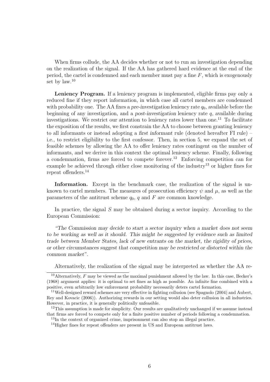When firms collude, the AA decides whether or not to run an investigation depending on the realization of the signal. If the AA has gathered hard evidence at the end of the period, the cartel is condemned and each member must pay a fine  $F$ , which is exogenously set by law.<sup>10</sup>

Leniency Program. If a leniency program is implemented, eligible firms pay only a reduced fine if they report information, in which case all cartel members are condemned with probability one. The AA fixes a pre-investigation leniency rate  $q_0$ , available before the beginning of any investigation, and a *post-investigation* leniency rate  $q$ , available during investigations. We restrict our attention to leniency rates lower than one.<sup>11</sup> To facilitate the exposition of the results, we first constrain the AA to choose between granting leniency to all informants or instead adopting a first informant rule (denoted hereafter FI rule) – i.e., to restrict eligibility to the first confessor. Then, in section 5, we expand the set of feasible schemes by allowing the AA to offer leniency rates contingent on the number of informants, and we derive in this context the optimal leniency scheme. Finally, following a condemnation, firms are forced to compete forever.<sup>12</sup> Enforcing competition can for example be achieved through either close monitoring of the industry<sup>13</sup> or higher fines for repeat offenders.<sup>14</sup>

Information. Except in the benchmark case, the realization of the signal is unknown to cartel members. The measures of prosecution efficiency  $\psi$  and  $\mu$ , as well as the parameters of the antitrust scheme  $q_0$ , q and F are common knowledge.

In practice, the signal S may be obtained during a sector inquiry. According to the European Commission:

"The Commission may decide to start a sector inquiry when a market does not seem to be working as well as it should. This might be suggested by evidence such as limited trade between Member States, lack of new entrants on the market, the rigidity of prices, or other circumstances suggest that competition may be restricted or distorted within the common market".

Alternatively, the realization of the signal may be interpreted as whether the AA re-

<sup>&</sup>lt;sup>10</sup>Alternatively, F may be viewed as the maximal punishment allowed by the law. In this case, Becker's (1968) argument applies: it is optimal to set fines as high as possible. An infinite fine combined with a positive, even arbitrarily low enforcement probability necessarily deters cartel formation.

<sup>11</sup>Well-designed reward schemes are very effective in fighting collusion (see Spagnolo (2004) and Aubert, Rey and Kovacic (2006)). Authorizing rewards in our setting would also deter collusion in all industries. However, in practice, it is generally politically unfeasible.

 $12$ This assumption is made for simplicity. Our results are qualitatively unchanged if we assume instead that firms are forced to compete only for a finite positive number of periods following a condemnation.

<sup>&</sup>lt;sup>13</sup>In the context of organized crime, imprisonment can also stop an illegal practice.

<sup>&</sup>lt;sup>14</sup>Higher fines for repeat offenders are present in US and European antitrust laws.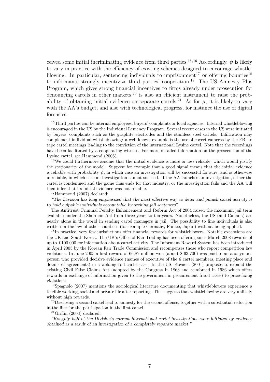ceived some initial incriminating evidence from third parties.<sup>15,16</sup> Accordingly,  $\psi$  is likely to vary in practice with the efficiency of existing schemes designed to encourage whistleblowing. In particular, sentencing individuals to imprisonment<sup>17</sup> or offering bounties<sup>18</sup> to informants strongly incentivize third parties' cooperation.<sup>19</sup> The US Amnesty Plus Program, which gives strong financial incentives to firms already under prosecution for denouncing cartels in other markets,  $20$  is also an efficient instrument to raise the probability of obtaining initial evidence on separate cartels.<sup>21</sup> As for  $\mu$ , it is likely to vary with the AA's budget, and also with technological progress, for instance the use of digital forensics.

<sup>16</sup>We could furthermore assume that the initial evidence is more or less reliable, which would justify the stationarity of the model. Suppose for example that a good signal means that the initial evidence is reliable with probability  $\psi$ , in which case an investigation will be successful for sure, and is otherwise unreliable, in which case an investigation cannot succeed. If the AA launches an investigation, either the cartel is condemned and the game thus ends for that industry, or the investigation fails and the AA will then infer that its initial evidence was not reliable.

"The Division has long emphasized that the most effective way to deter and punish cartel activity is to hold culpable individuals accountable by seeking jail sentences".

The Antitrust Criminal Penalty Enhancement and Reform Act of 2004 raised the maximum jail term available under the Sherman Act from three years to ten years. Nonetheless, the US (and Canada) are nearly alone in the world in sending cartel managers in jail. The possibility to fine individuals is also written in the law of other countries (for example Germany, France, Japan) without being applied.

<sup>18</sup>In practice, very few jurisdictions offer financial rewards for whistleblowers. Notable exceptions are the UK and South Korea. The UK's Office of Fair Trading has been offering since March 2008 rewards of up to £100,000 for information about cartel activity. The Informant Reward System has been introduced in April 2005 by the Korean Fair Trade Commission and recompenses those who report competition law violations. In June 2005 a first reward of 66,87 million won (about \$ 63,700) was paid to an anonymous person who provided decisive evidence (names of executive of the 6 cartel members, meeting place and details of agreements) in a welding rod cartel case. In the US, Kovacic (2001) proposes to expand the existing Civil False Claims Act (adopted by the Congress in 1863 and reinforced in 1986 which offers rewards in exchange of information given to the government in procurement fraud cases) to price-fixing violations.

<sup>19</sup>Spagnolo (2007) mentions the sociological literature documenting that whistleblowers experience a terrible working, social and private life after reporting. This suggests that whistleblowing are very unlikely without high rewards.

<sup>20</sup>Disclosing a second cartel lead to amnesty for the second offense, together with a substantial reduction in the fine for the participation in the first cartel.

 $^{21}$ Griffin (2003) declared:

"Roughly half of the Division's current international cartel investigations were initiated by evidence obtained as a result of an investigation of a completely separate market."

<sup>&</sup>lt;sup>15</sup>Third parties can be internal employees, buyers' complaints or local agencies. Internal whistleblowing is encouraged in the US by the Individual Leniency Program. Several recent cases in the US were initiated by buyers' complaints such as the graphite electrodes and the stainless steel cartels. Infiltration may complement individual whistleblowing: a well-known example is the use of covert cameras by the FBI to tape cartel meetings leading to the conviction of the international Lysine cartel. Note that the recordings have been facilitated by a cooperating witness. For more detailed information on the prosecution of the Lysine cartel, see Hammond (2005).

<sup>17</sup>Hammond (2007) declared: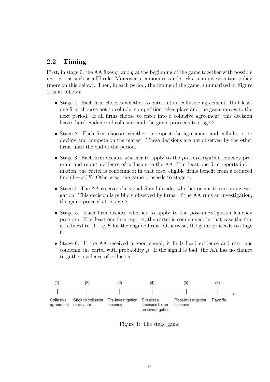### 2.2 Timing

First, in stage 0, the AA fixes  $q_0$  and q at the beginning of the game together with possible restrictions such as a FI rule. Moreover, it announces and sticks to an investigation policy (more on this below). Then, in each period, the timing of the game, summarized in Figure 1, is as follows:

- Stage 1. Each firm chooses whether to enter into a collusive agreement. If at least one firm chooses not to collude, competition takes place and the game moves to the next period. If all firms choose to enter into a collusive agreement, this decision leaves hard evidence of collusion and the game proceeds to stage 2.
- Stage 2. Each firm chooses whether to respect the agreement and collude, or to deviate and compete on the market. These decisions are not observed by the other firms until the end of the period.
- Stage 3. Each firm decides whether to apply to the *pre-investigation* leniency program and report evidence of collusion to the AA. If at least one firm reports information, the cartel is condemned; in that case, eligible firms benefit from a reduced fine  $(1 - q_0)F$ . Otherwise, the game proceeds to stage 4.
- Stage 4. The AA receives the signal  $S$  and decides whether or not to run an investigation. This decision is publicly observed by firms. If the AA runs an investigation, the game proceeds to stage 5.
- Stage 5. Each firm decides whether to apply to the *post-investigation* leniency program. If at least one firm reports, the cartel is condemned; in that case the fine is reduced to  $(1 - q)F$  for the eligible firms. Otherwise, the game proceeds to stage 6.
- Stage 6. If the AA received a good signal, it finds hard evidence and can thus condemn the cartel with probability  $\mu$ . If the signal is bad, the AA has no chance to gather evidence of collusion.



Figure 1: The stage game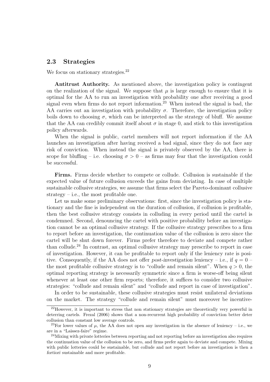#### 2.3 Strategies

We focus on stationary strategies.<sup>22</sup>

Antitrust Authority. As mentioned above, the investigation policy is contingent on the realization of the signal. We suppose that  $\mu$  is large enough to ensure that it is optimal for the AA to run an investigation with probability one after receiving a good signal even when firms do not report information.<sup>23</sup> When instead the signal is bad, the AA carries out an investigation with probability  $\sigma$ . Therefore, the investigation policy boils down to choosing  $\sigma$ , which can be interpreted as the strategy of bluff. We assume that the AA can credibly commit itself about  $\sigma$  in stage 0, and stick to this investigation policy afterwards.

When the signal is public, cartel members will not report information if the AA launches an investigation after having received a bad signal, since they do not face any risk of conviction. When instead the signal is privately observed by the AA, there is scope for bluffing – i.e. choosing  $\sigma > 0$  – as firms may fear that the investigation could be successful.

Firms. Firms decide whether to compete or collude. Collusion is sustainable if the expected value of future collusion exceeds the gains from deviating. In case of multiple sustainable collusive strategies, we assume that firms select the Pareto-dominant collusive strategy – i.e., the most profitable one.

Let us make some preliminary observations: first, since the investigation policy is stationary and the fine is independent on the duration of collusion, if collusion is profitable, then the best collusive strategy consists in colluding in every period until the cartel is condemned. Second, denouncing the cartel with positive probability before an investigation cannot be an optimal collusive strategy. If the collusive strategy prescribes to a firm to report before an investigation, the continuation value of the collusion is zero since the cartel will be shut down forever. Firms prefer therefore to deviate and compete rather than collude.<sup>24</sup> In contrast, an optimal collusive strategy may prescribe to report in case of investigation. However, it can be profitable to report only if the leniency rate is positive. Consequently, if the AA does not offer post-investigation leniency – i.e., if  $q = 0$  – the most profitable collusive strategy is to "collude and remain silent". When  $q > 0$ , the optimal reporting strategy is necessarily symmetric since a firm is worse-off being silent whenever at least one other firm reports; therefore, it suffices to consider two collusive strategies: "collude and remain silent" and "collude and report in case of investigation".

In order to be sustainable, these collusive strategies must resist unilateral deviations on the market. The strategy "collude and remain silent" must moreover be incentive-

<sup>22</sup>However, it is important to stress that non stationary strategies are theoretically very powerful in deterring cartels. Frezal (2006) shows that a non-recurrent high probability of conviction better deter collusion than constant low average controls.

<sup>&</sup>lt;sup>23</sup>For lower values of  $\mu$ , the AA does not open any investigation in the absence of leniency – i.e., we are in a "Laissez-faire" regime.

<sup>&</sup>lt;sup>24</sup>Mixing with private lotteries between reporting and not reporting before an investigation also requires the continuation value of the collusion to be zero, and firms prefer again to deviate and compete. Mixing with public lotteries could be sustainable, but collude and not report before an investigation is then a fortiori sustainable and more profitable.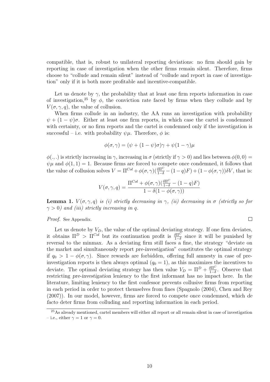compatible, that is, robust to unilateral reporting deviations: no firm should gain by reporting in case of investigation when the other firms remain silent. Therefore, firms choose to "collude and remain silent" instead of "collude and report in case of investigation" only if it is both more profitable and incentive-compatible.

Let us denote by  $\gamma$ , the probability that at least one firm reports information in case of investigation,<sup>25</sup> by  $\phi$ , the conviction rate faced by firms when they collude and by  $V(\sigma, \gamma, a)$ , the value of collusion.

When firms collude in an industry, the AA runs an investigation with probability  $\psi + (1 - \psi)\sigma$ . Either at least one firm reports, in which case the cartel is condemned with certainty, or no firm reports and the cartel is condemned only if the investigation is successful – i.e. with probability  $\psi \mu$ . Therefore,  $\phi$  is:

$$
\phi(\sigma, \gamma) = (\psi + (1 - \psi)\sigma)\gamma + \psi(1 - \gamma)\mu
$$

 $\phi(.,.)$  is strictly increasing in  $\gamma$ , increasing in  $\sigma$  (strictly if  $\gamma > 0$ ) and lies between  $\phi(0,0) =$  $\psi\mu$  and  $\phi(1,1) = 1$ . Because firms are forced to compete once condemned, it follows that the value of collusion solves  $V = \Pi^{Col} + \phi(\sigma, \gamma)(\frac{\delta \Pi^C}{1-\delta} - (1-q)F) + (1-\phi(\sigma, \gamma))\delta V$ , that is:

$$
V(\sigma, \gamma, q) = \frac{\Pi^{Col} + \phi(\sigma, \gamma)(\frac{\delta \Pi^C}{1 - \delta} - (1 - q)F)}{1 - \delta(1 - \phi(\sigma, \gamma))}
$$

**Lemma 1.**  $V(\sigma, \gamma, q)$  is (i) strictly decreasing in  $\gamma$ , (ii) decreasing in  $\sigma$  (strictly so for  $\gamma > 0$ ) and (iii) strictly increasing in q.

 $\Box$ 

#### Proof. See Appendix.

Let us denote by  $V_D$ , the value of the optimal deviating strategy. If one firm deviates, it obtains  $\Pi^D > \Pi^{Col}$  but its continuation profit is  $\frac{\delta \Pi^C}{1-\delta}$  since it will be punished by reversal to the minmax. As a deviating firm still faces a fine, the strategy "deviate on the market and simultaneously report pre-investigation" constitutes the optimal strategy if  $q_0 > 1 - \phi(\sigma, \gamma)$ . Since rewards are forbidden, offering full amnesty in case of preinvestigation reports is then always optimal  $(q_0 = 1)$ , as this maximizes the incentives to deviate. The optimal deviating strategy has then value  $V_D = \Pi^D + \frac{\delta \Pi^C}{1-\delta}$  $\frac{\delta \Pi^{\circ}}{1-\delta}$ . Observe that restricting pre-investigation leniency to the first informant has no impact here. In the literature, limiting leniency to the first confessor prevents collusive firms from reporting in each period in order to protect themselves from fines (Spagnolo (2004), Chen and Rey (2007)). In our model, however, firms are forced to compete once condemned, which de facto deter firms from colluding and reporting information in each period.

<sup>25</sup>As already mentioned, cartel members will either all report or all remain silent in case of investigation – i.e., either  $\gamma = 1$  or  $\gamma = 0$ .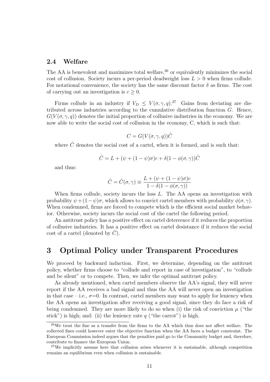#### 2.4 Welfare

The AA is benevolent and maximizes total welfare,  $26$  or equivalently minimizes the social cost of collusion. Society incurs a per-period deadweight loss  $L > 0$  when firms collude. For notational convenience, the society has the same discount factor  $\delta$  as firms. The cost of carrying out an investigation is  $c \geq 0$ .

Firms collude in an industry if  $V_D \leq V(\sigma, \gamma, q)^{27}$  Gains from deviating are distributed across industries according to the cumulative distribution function  $G$ . Hence,  $G(V(\sigma, \gamma, q))$  denotes the initial proportion of collusive industries in the economy. We are now able to write the social cost of collusion in the economy, C, which is such that:

$$
C = G(V(\sigma, \gamma, q))\hat{C}
$$

where  $\hat{C}$  denotes the social cost of a cartel, when it is formed, and is such that:

$$
\hat{C} = L + (\psi + (1 - \psi)\sigma)c + \delta(1 - \phi(\sigma, \gamma))\hat{C}
$$

and thus:

$$
\hat{C} = \hat{C}(\sigma, \gamma) \equiv \frac{L + (\psi + (1 - \psi)\sigma)c}{1 - \delta(1 - \phi(\sigma, \gamma))}
$$

When firms collude, society incurs the loss  $L$ . The AA opens an investigation with probability  $\psi + (1 - \psi)\sigma$ , which allows to convict cartel members with probability  $\phi(\sigma, \gamma)$ . When condemned, firms are forced to compete which is the efficient social market behavior. Otherwise, society incurs the social cost of the cartel the following period.

An antitrust policy has a positive effect on cartel deterrence if it reduces the proportion of collusive industries. It has a positive effect on cartel desistance if it reduces the social cost of a cartel (denoted by  $C$ ).

# 3 Optimal Policy under Transparent Procedures

We proceed by backward induction. First, we determine, depending on the antitrust policy, whether firms choose to "collude and report in case of investigation", to "collude and be silent" or to compete. Then, we infer the optimal antitrust policy.

As already mentioned, when cartel members observe the AA's signal, they will never report if the AA receives a bad signal and thus the AA will never open an investigation in that case – i.e.,  $\sigma$ =0. In contrast, cartel members may want to apply for leniency when the AA opens an investigation after receiving a good signal, since they do face a risk of being condemned. They are more likely to do so when (i) the risk of conviction  $\mu$  ("the stick") is high; and: (ii) the leniency rate  $q$  ("the carrot") is high.

 $26$ We treat the fine as a transfer from the firms to the AA which thus does not affect welfare. The collected fines could however enter the objective function when the AA faces a budget constraint. The European Commission indeed argues that the penalties paid go to the Community budget and, therefore, contribute to finance the European Union.

<sup>&</sup>lt;sup>27</sup>We implicitly assume here that collusion arises whenever it is sustainable, although competition remains an equilibrium even when collusion is sustainable.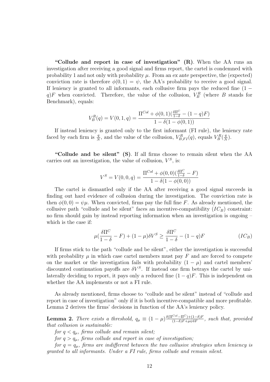"Collude and report in case of investigation"  $(R)$ . When the AA runs an investigation after receiving a good signal and firms report, the cartel is condemned with probability 1 and not only with probability  $\mu$ . From an ex ante perspective, the (expected) conviction rate is therefore  $\phi(0, 1) = \psi$ , the AA's probability to receive a good signal. If leniency is granted to all informants, each collusive firm pays the reduced fine  $(1$ q)F when convicted. Therefore, the value of the collusion,  $V_B^R$  (where B stands for Benchmark), equals:

$$
V_B^R(q) = V(0, 1, q) = \frac{\Pi^{Col} + \phi(0, 1)(\frac{\delta \Pi^C}{1 - \delta} - (1 - q)F)}{1 - \delta(1 - \phi(0, 1))}
$$

If instead leniency is granted only to the first informant (FI rule), the leniency rate faced by each firm is  $\frac{q}{N}$ , and the value of the collusion,  $V_{B,FI}^R(q)$ , equals  $V_B^R(\frac{q}{N})$  $\frac{q}{N}$ .

"Collude and be silent" (S). If all firms choose to remain silent when the AA carries out an investigation, the value of collusion,  $V^S$ , is:

$$
V^{S} = V(0,0,q) = \frac{\Pi^{Col} + \phi(0,0)(\frac{\delta \Pi^{C}}{1-\delta} - F)}{1 - \delta(1-\phi(0,0))}
$$

The cartel is dismantled only if the AA after receiving a good signal succeeds in finding out hard evidence of collusion during the investigation. The conviction rate is then  $\phi(0,0) = \psi\mu$ . When convicted, firms pay the full fine F. As already mentioned, the collusive path "collude and be silent" faces an incentive-compatibility  $(IC_B)$  constraint: no firm should gain by instead reporting information when an investigation is ongoing – which is the case if:

$$
\mu(\frac{\delta \Pi^C}{1-\delta} - F) + (1-\mu)\delta V^S \ge \frac{\delta \Pi^C}{1-\delta} - (1-q)F
$$
\n
$$
(IC_B)
$$

If firms stick to the path "collude and be silent", either the investigation is successful with probability  $\mu$  in which case cartel members must pay F and are forced to compete on the market or the investigation fails with probability  $(1 - \mu)$  and cartel members' discounted continuation payoffs are  $\delta V^S$ . If instead one firm betrays the cartel by unilaterally deciding to report, it pays only a reduced fine  $(1 - q)F$ . This is independent on whether the AA implements or not a FI rule.

As already mentioned, firms choose to "collude and be silent" instead of "collude and report in case of investigation" only if it is both incentive-compatible and more profitable. Lemma 2 derives the firms' decisions in function of the AA's leniency policy.

**Lemma 2.** There exists a threshold,  $q_{\mu} \equiv (1 - \mu) \frac{\delta(\Pi^{Col} - \Pi^C) + (1 - \delta)F}{(1 - \delta)F + \mu \psi \delta F}$ , such that, provided that collusion is sustainable:

for  $q < q_{\mu}$ , firms collude and remain silent;

for  $q > q_{\mu}$ , firms collude and report in case of investigation;

for  $q = q_{\mu}$ , firms are indifferent between the two collusive strategies when leniency is granted to all informants. Under a FI rule, firms collude and remain silent.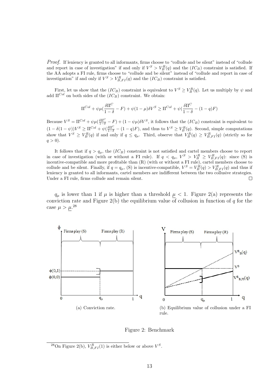Proof. If leniency is granted to all informants, firms choose to "collude and be silent" instead of "collude and report in case of investigation" if and only if  $V^S > V_B^R(q)$  and the  $(IC_B)$  constraint is satisfied. If the AA adopts a FI rule, firms choose to "collude and be silent" instead of "collude and report in case of investigation" if and only if  $V^S > V^R_{B,FI}(q)$  and the  $(IC_B)$  constraint is satisfied.

First, let us show that the  $(IC_B)$  constraint is equivalent to  $V^S \geq V^R_B(q)$ . Let us multiply by  $\psi$  and add  $\Pi^{Col}$  on both sides of the  $(IC_B)$  constraint. We obtain:

$$
\Pi^{Col} + \psi \mu \left( \frac{\delta \Pi^C}{1 - \delta} - F \right) + \psi (1 - \mu) \delta V^S \ge \Pi^{Col} + \psi \left( \frac{\delta \Pi^C}{1 - \delta} - (1 - q)F \right)
$$

Because  $V^S = \Pi^{Col} + \psi \mu (\frac{\delta \Pi^C}{1-\delta} - F) + (1-\psi \mu) \delta V^S$ , it follows that the  $(IC_B)$  constraint is equivalent to  $(1 - \delta(1 - \psi))V^S \ge \Pi^{Col} + \psi(\frac{\delta \Pi^C}{1 - \delta} - (1 - q)F)$ , and thus to  $V^S \ge V^R_B(q)$ . Second, simple computations show that  $V^S \geq V^R_B(q)$  if and only if  $q \leq q_\mu$ . Third, observe that  $V^R_B(q) \geq V^R_{B,FI}(q)$  (strictly so for  $q > 0$ ).

It follows that if  $q > q_{\mu}$ , the  $(IC_B)$  constraint is not satisfied and cartel members choose to report in case of investigation (with or without a FI rule). If  $q < q_{\mu}$ ,  $V^S > V^R_B \geq V^R_{B,FI}(q)$ : since (S) is incentive-compatible and more profitable than (R) (with or without a FI rule), cartel members choose to collude and be silent. Finally, if  $q = q_{\mu}$ , (S) is incentive-compatible,  $V^S = V^R_B(q) > V^R_{B,FI}(q)$  and thus if leniency is granted to all informants, cartel members are indifferent between the two collusive strategies. Under a FI rule, firms collude and remain silent.  $\Box$ 

 $q_{\mu}$  is lower than 1 if  $\mu$  is higher than a threshold  $\mu < 1$ . Figure 2(a) represents the conviction rate and Figure 2(b) the equilibrium value of collusion in function of q for the case  $\mu > \mu$ .<sup>28</sup>



Figure 2: Benchmark

<sup>&</sup>lt;sup>28</sup>On Figure 2(b),  $V_{B,FI}^{R}(1)$  is either below or above  $V^{S}$ .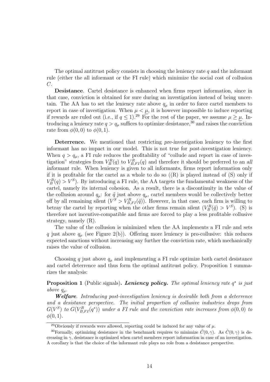The optimal antitrust policy consists in choosing the leniency rate  $q$  and the informant rule (either the all informant or the FI rule) which minimize the social cost of collusion  $C$ .

Desistance. Cartel desistance is enhanced when firms report information, since in that case, conviction is obtained for sure during an investigation instead of being uncertain. The AA has to set the leniency rate above  $q_{\mu}$  in order to force cartel members to report in case of investigation. When  $\mu < \mu$ , it is however impossible to induce reporting if rewards are ruled out (i.e., if  $q \le 1$ ).<sup>29</sup> For the rest of the paper, we assume  $\mu \ge \mu$ . Introducing a leniency rate  $q > q_\mu$  suffices to optimize desistance,<sup>30</sup> and raises the conviction rate from  $\phi(0,0)$  to  $\phi(0,1)$ .

Deterrence. We mentioned that restricting pre-investigation leniency to the first informant has no impact in our model. This is not true for post-investigation leniency. When  $q > q_{\mu}$ , a FI rule reduces the profitability of "collude and report in case of investigation" strategies from  $V_B^R(q)$  to  $V_{B,FI}^R(q)$  and therefore it should be preferred to an all informant rule. When leniency is given to all informants, firms report information only if it is profitable for the cartel as a whole to do so  $((R)$  is played instead of  $(S)$  only if  $V_B^R(q) > V^S$ ). By introducing a FI rule, the AA targets the fundamental weakness of the cartel, namely its internal cohesion. As a result, there is a discontinuity in the value of the collusion around  $q_{\mu}$ : for  $\tilde{q}$  just above  $q_{\mu}$ , cartel members would be collectively better off by all remaining silent  $(V^S > V^R_{B,FI}(\tilde{q}))$ . However, in that case, each firm is willing to betray the cartel by reporting when the other firms remain silent  $(V_B^R(\tilde{q}) > V^S)$ . (S) is therefore not incentive-compatible and firms are forced to play a less profitable collusive strategy, namely (R).

The value of the collusion is minimized when the AA implements a FI rule and sets q just above  $q_{\mu}$  (see Figure 2(b)). Offering more leniency is pro-collusive: this reduces expected sanctions without increasing any further the conviction rate, which mechanically raises the value of collusion.

Choosing q just above  $q_{\mu}$  and implementing a FI rule optimize both cartel desistance and cartel deterrence and thus form the optimal antitrust policy. Proposition 1 summarizes the analysis:

**Proposition 1** (Public signals). Leniency policy. The optimal leniency rate  $q^*$  is just above  $q_\mu$ .

Welfare. Introducing post-investigation leniency is desirable both from a deterrence and a desistance perspective. The initial proportion of collusive industries drops from  $G(V^S)$  to  $G(V^R_{B,FI}(q^*))$  under a FI rule and the conviction rate increases from  $\phi(0,0)$  to  $\phi(0,1)$ .

<sup>&</sup>lt;sup>29</sup>Obviously if rewards were allowed, reporting could be induced for any value of  $\mu$ .

<sup>&</sup>lt;sup>30</sup>Formally, optimizing desistance in the benchmark requires to minimize  $\hat{C}(0,\gamma)$ . As  $\hat{C}(0,\gamma)$  is decreasing in  $\gamma$ , desistance is optimized when cartel members report information in case of an investigation. A corollary is that the choice of the informant rule plays no role from a desistance perspective.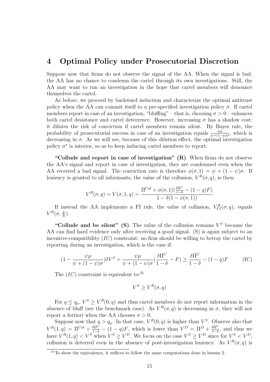# 4 Optimal Policy under Prosecutorial Discretion

Suppose now that firms do not observe the signal of the AA. When the signal is bad, the AA has no chance to condemn the cartel through its own investigations. Still, the AA may want to run an investigation in the hope that cartel members will denounce themselves the cartel.

As before, we proceed by backward induction and characterize the optimal antitrust policy when the AA can commit itself to a pre-specified investigation policy  $\sigma$ . If cartel members report in case of an investigation, "bluffing" – that is, choosing  $\sigma > 0$  – enhances both cartel desistance and cartel deterrence. However, increasing  $\sigma$  has a shadow cost: it dilutes the risk of conviction if cartel members remain silent. By Bayes rule, the probability of prosecutorial success in case of an investigation equals  $\frac{\psi\mu}{\psi+(1-\psi)\sigma}$ , which is decreasing in  $\sigma$ . As we will see, because of this dilution effect, the optimal investigation policy  $\sigma^*$  is interior, so as to keep inducing cartel members to report.

"Collude and report in case of investigation"  $(R)$ . When firms do not observe the AA's signal and report in case of investigation, they are condemned even when the AA received a bad signal. The conviction rate is therefore  $\phi(\sigma, 1) = \psi + (1 - \psi)\sigma$ . If leniency is granted to all informants, the value of the collusion,  $V^R(\sigma, q)$ , is then:

$$
V^R(\sigma, q) = V(\sigma, 1, q) = \frac{\Pi^{Col} + \phi(\sigma, 1)(\frac{\delta \Pi^C}{1 - \delta} - (1 - q)F)}{1 - \delta(1 - \phi(\sigma, 1))}
$$

If instead the AA implements a FI rule, the value of collusion,  $V_{FI}^{R}(\sigma, q)$ , equals  $V^R(\sigma, \frac{q}{\Lambda})$  $\frac{q}{N}$ .

"Collude and be silent" (S). The value of the collusion remains  $V^S$  because the AA can find hard evidence only after receiving a good signal. (S) is again subject to an incentive-compatibility  $(IC)$  constraint: no firm should be willing to betray the cartel by reporting during an investigation, which is the case if:

$$
(1 - \frac{\psi\mu}{\psi + (1 - \psi)\sigma})\delta V^S + \frac{\psi\mu}{\psi + (1 - \psi)\sigma}(\frac{\delta\Pi^C}{1 - \delta} - F) \ge \frac{\delta\Pi^C}{1 - \delta} - (1 - q)F
$$
 (IC)

The  $(IC)$  constraint is equivalent to:<sup>31</sup>

$$
V^S \ge V^R(\sigma, q)
$$

For  $q \leq q_{\mu}$ ,  $V^S \geq V^R(0, q)$  and thus cartel members do not report information in the absence of bluff (see the benchmark case). As  $V^R(\sigma, q)$  is decreasing in  $\sigma$ , they will not report a fortiori when the AA chooses  $\sigma > 0$ .

Suppose now that  $q > q_\mu$ . In that case,  $V^R(0, q)$  is higher than  $V^S$ . Observe also that  $V^R(1,q) = \Pi^{Col} + \frac{\delta \Pi^C}{1-\delta} - (1-q)F$ , which is lower than  $V^D = \Pi^D + \frac{\delta \Pi^C}{1-\delta}$  $\frac{\delta \Pi^{\circ}}{1-\delta}$ , and thus we have  $V^R(1,q) < V^S$  when  $V^S \ge V^D$ . We focus on the case  $V^S \ge V^D$  since for  $V^S < V^D$ , collusion is deterred even in the absence of post-investigation leniency. As  $V^R(\sigma, q)$  is

 $31$ To show the equivalence, it suffices to follow the same computations done in lemma 2.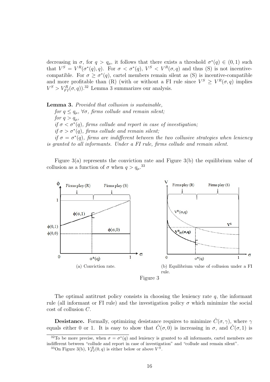decreasing in  $\sigma$ , for  $q > q_{\mu}$ , it follows that there exists a threshold  $\sigma^*(q) \in (0,1)$  such that  $V^S = V^R(\sigma^*(q), q)$ . For  $\sigma < \sigma^*(q)$ ,  $V^S < V^R(\sigma, q)$  and thus (S) is not incentivecompatible. For  $\sigma \geq \sigma^*(q)$ , cartel members remain silent as (S) is incentive-compatible and more profitable than (R) (with or without a FI rule since  $V^S \geq V^R(\sigma, q)$  implies  $V^S > V_{FI}^R(\sigma, q)$ .<sup>32</sup> Lemma 3 summarizes our analysis.

Lemma 3. Provided that collusion is sustainable, for  $q \leq q_{\mu}$ ,  $\forall \sigma$ , firms collude and remain silent; for  $q > q_u$ , if  $\sigma < \sigma^*(q)$ , firms collude and report in case of investigation; if  $\sigma > \sigma^*(q)$ , firms collude and remain silent;

if  $\sigma = \sigma^*(q)$ , firms are indifferent between the two collusive strategies when leniency is granted to all informants. Under a FI rule, firms collude and remain silent.

Figure 3(a) represents the conviction rate and Figure 3(b) the equilibrium value of collusion as a function of  $\sigma$  when  $q > q_{\mu}$ .<sup>33</sup>



The optimal antitrust policy consists in choosing the leniency rate  $q$ , the informant rule (all informant or FI rule) and the investigation policy  $\sigma$  which minimize the social cost of collusion C.

**Desistance.** Formally, optimizing desistance requires to minimize  $\hat{C}(\sigma, \gamma)$ , where  $\gamma$ equals either 0 or 1. It is easy to show that  $\hat{C}(\sigma,0)$  is increasing in  $\sigma$ , and  $\hat{C}(\sigma,1)$  is

<sup>&</sup>lt;sup>32</sup>To be more precise, when  $\sigma = \sigma^*(q)$  and leniency is granted to all informants, cartel members are indifferent between "collude and report in case of investigation" and "collude and remain silent".

<sup>&</sup>lt;sup>33</sup>On Figure 3(b),  $V_{FI}^{R}(0,q)$  is either below or above  $V^{S}$ .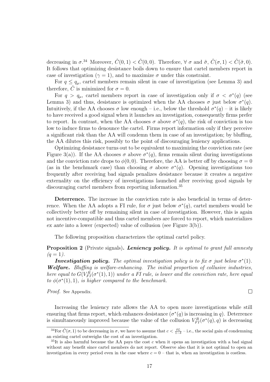decreasing in  $\sigma^{34}$  Moreover,  $\hat{C}(0,1) < \hat{C}(0,0)$ . Therefore,  $\forall \sigma$  and  $\tilde{\sigma}$ ,  $\hat{C}(\sigma,1) < \hat{C}(\tilde{\sigma},0)$ . It follows that optimizing desistance boils down to ensure that cartel members report in case of investigation ( $\gamma = 1$ ), and to maximize  $\sigma$  under this constraint.

For  $q \leq q_{\mu}$ , cartel members remain silent in case of investigation (see Lemma 3) and therefore, C is minimized for  $\sigma = 0$ .

For  $q > q_\mu$ , cartel members report in case of investigation only if  $\sigma < \sigma^*(q)$  (see Lemma 3) and thus, desistance is optimized when the AA chooses  $\sigma$  just below  $\sigma^*(q)$ . Intuitively, if the AA chooses  $\sigma$  low enough – i.e., below the threshold  $\sigma^*(q)$  – it is likely to have received a good signal when it launches an investigation, consequently firms prefer to report. In contrast, when the AA chooses  $\sigma$  above  $\sigma^*(q)$ , the risk of conviction is too low to induce firms to denounce the cartel. Firms report information only if they perceive a significant risk than the AA will condemn them in case of an investigation; by bluffing, the AA dilutes this risk, possibly to the point of discouraging leniency applications.

Optimizing desistance turns out to be equivalent to maximizing the conviction rate (see Figure 3(a)). If the AA chooses  $\sigma$  above  $\sigma^*(q)$ , firms remain silent during investigations and the conviction rate drops to  $\phi(0,0)$ . Therefore, the AA is better off by choosing  $\sigma = 0$ (as in the benchmark case) than choosing  $\sigma$  above  $\sigma^*(q)$ . Opening investigations too frequently after receiving bad signals penalizes desistance because it creates a negative externality on the efficiency of investigations launched after receiving good signals by discouraging cartel members from reporting information.<sup>35</sup>

Deterrence. The increase in the conviction rate is also beneficial in terms of deterrence. When the AA adopts a FI rule, for  $\sigma$  just below  $\sigma^*(q)$ , cartel members would be collectively better off by remaining silent in case of investigation. However, this is again not incentive-compatible and thus cartel members are forced to report, which materializes ex ante into a lower (expected) value of collusion (see Figure 3(b)).

The following proposition characterizes the optimal cartel policy.

#### **Proposition 2** (Private signals). Leniency policy. It is optimal to grant full amnesty  $(q = 1)$ .

**Investigation policy.** The optimal investigation policy is to fix  $\sigma$  just below  $\sigma^*(1)$ . Welfare. Bluffing is welfare-enhancing. The initial proportion of collusive industries, here equal to  $G(V_{FI}^{R}(\sigma^{*}(1),1))$  under a FI rule, is lower and the conviction rate, here equal to  $\phi(\sigma^*(1), 1)$ , is higher compared to the benchmark.

 $\Box$ 

Proof. See Appendix.

Increasing the leniency rate allows the AA to open more investigations while still ensuring that firms report, which enhances desistance  $(\sigma^*(q))$  is increasing in q. Deterrence is simultaneously improved because the value of the collusion  $V_{FI}^{R}(\sigma^*(q), q)$  is decreasing

<sup>&</sup>lt;sup>34</sup>For  $\hat{C}(\sigma, 1)$  to be decreasing in  $\sigma$ , we have to assume that  $c < \frac{\delta L}{1-\delta}$  – i.e., the social gain of condemning an existing cartel outweighs the cost of an investigation.

 ${}^{35}$ It is also harmful because the AA pays the cost c when it opens an investigation with a bad signal without any benefit since cartel members do not report. Observe also that it is not optimal to open an investigation in every period even in the case where  $c = 0$  – that is, when an investigation is costless.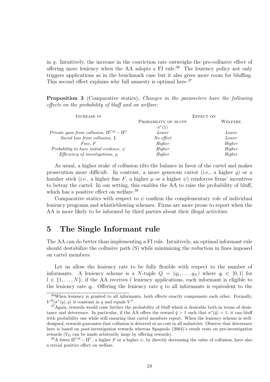in  $q$ . Intuitively, the increase in the conviction rate outweighs the pro-collusive effect of offering more leniency when the AA adopts a FI rule.<sup>36</sup> The leniency policy not only triggers applications as in the benchmark case but it also gives more room for bluffing. This second effect explains why full amnesty is optimal here.<sup>37</sup>

Proposition 3 (Comparative statics). Changes in the parameters have the following effects on the probability of bluff and on welfare:

| INCREASE IN                                      |                      | EFFECT ON |         |
|--------------------------------------------------|----------------------|-----------|---------|
|                                                  | PROBABILITY OF BLUFF |           | WELFARE |
|                                                  | $\sigma^*(1)$        |           |         |
| Private gain from collusion, $\Pi^{Col} - \Pi^C$ | Lower                |           | Lower   |
| Social loss from collusion, L                    | No effect            |           | Lower   |
| Fine, F                                          | Higher               |           | Higher  |
| Probability to have initial evidence, $\psi$     | Higher               |           | Higher  |
| Efficiency of investigations, $\mu$              | Higher               |           | Higher  |

As usual, a higher stake of collusion tilts the balance in favor of the cartel and makes prosecution more difficult. In contrast, a more generous carrot (i.e., a higher  $q$ ) or a harsher stick (i.e., a higher fine F, a higher  $\mu$  or a higher  $\psi$ ) reinforces firms' incentives to betray the cartel. In our setting, this enables the AA to raise the probability of bluff, which has a positive effect on welfare.<sup>38</sup>

Comparative statics with respect to  $\psi$  confirm the complementary role of individual leniency programs and whistleblowing schemes. Firms are more prone to report when the AA is more likely to be informed by third parties about their illegal activities.

# 5 The Single Informant rule

The AA can do better than implementing a FI rule. Intuitively, an optimal informant rule should destabilize the collusive path (S) while minimizing the reduction in fines imposed on cartel members.

Let us allow the leniency rate to be fully flexible with respect to the number of informants. A leniency scheme is a N-tuple  $Q = (q_1, \ldots, q_N)$  where  $q_l \in [0, 1]$  for  $l \in \{1, \ldots, N\}$ ; if the AA receives l leniency applications, each informant is eligible to the leniency rate  $q_l$ . Offering the leniency rate q to all informants is equivalent to the

<sup>36</sup>When leniency is granted to all informants, both effects exactly compensate each other. Formally,  $V^R(\sigma^*(q), q)$  is constant in q and equals  $V^S$ .

<sup>&</sup>lt;sup>37</sup>Again, rewards would raise further the probability of bluff which is desirable both in terms of desistance and deterrence. In particular, if the AA offers the reward  $\tilde{q} > 1$  such that  $\sigma^*(\tilde{q}) = 1$ , it can bluff with probability one while still ensuring that cartel members report. When the leniency scheme is welldesigned, rewards guarantee that collusion is deterred at no cost in all industries. Observe that deterrence here is based on post-investigation rewards whereas Spagnolo (2004)'s result rests on pre-investigation rewards  $(V_D)$  can be made arbitrarily large by offering rewards).

<sup>&</sup>lt;sup>38</sup>A lower  $\Pi^{Col} - \Pi^C$ , a higher F or a higher  $\psi$ , by directly decreasing the value of collusion, have also a trivial positive effect on welfare.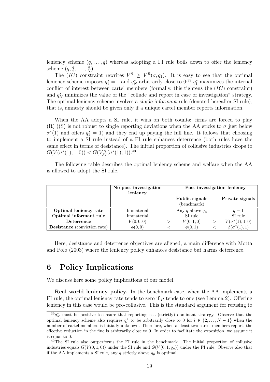leniency scheme  $(q, \ldots, q)$  whereas adopting a FI rule boils down to offer the leniency scheme  $(q, \frac{q}{2}, \ldots, \frac{q}{N})$  $\frac{q}{N}$ .

The  $(\overline{IC})$  constraint rewrites  $V^S \geq V^R(\sigma, q_1)$ . It is easy to see that the optimal leniency scheme imposes  $q_1^* = 1$  and  $q_N^*$  arbitrarily close to  $0;^{39}$   $q_1^*$  maximizes the internal conflict of interest between cartel members (formally, this tightens the  $(IC)$  constraint) and  $q_N^*$  minimizes the value of the "collude and report in case of investigation" strategy. The optimal leniency scheme involves a single informant rule (denoted hereafter SI rule), that is, amnesty should be given only if a unique cartel member reports information.

When the AA adopts a SI rule, it wins on both counts: firms are forced to play (R) ((S) is not robust to single reporting deviations when the AA sticks to  $\sigma$  just below  $\sigma^*(1)$  and offers  $q_1^* = 1$ ) and they end up paying the full fine. It follows that choosing to implement a SI rule instead of a FI rule enhances deterrence (both rules have the same effect in terms of desistance). The initial proportion of collusive industries drops to  $G(V(\sigma^*(1), 1, 0)) < G(V_{FI}^R(\sigma^*(1), 1)).^{40}$ 

The following table describes the optimal leniency scheme and welfare when the AA is allowed to adopt the SI rule.

|                                     | No post-investigation | Post-investigation leniency |  |                        |
|-------------------------------------|-----------------------|-----------------------------|--|------------------------|
|                                     | leniency              |                             |  |                        |
|                                     |                       | Public signals              |  | Private signals        |
|                                     |                       | (benchmark)                 |  |                        |
| Optimal leniency rate               | Immaterial            | Any q above $q_{\mu}$       |  | $q=1$                  |
| Optimal informant rule              | Immaterial            | $\rm SI$ rule               |  | SI rule                |
| Deterrence                          | V(0,0,0)              | V(0,1,0)                    |  | $V(\sigma^*(1), 1, 0)$ |
| <b>Desistance</b> (conviction rate) | $\phi(0,0)$           | $\phi(0,1)$                 |  | $\phi(\sigma^*(1),1)$  |

Here, desistance and deterrence objectives are aligned, a main difference with Motta and Polo (2003) where the leniency policy enhances desistance but harms deterrence.

# 6 Policy Implications

We discuss here some policy implications of our model.

Real world leniency policy. In the benchmark case, when the AA implements a FI rule, the optimal leniency rate tends to zero if  $\mu$  tends to one (see Lemma 2). Offering leniency in this case would be pro-collusive. This is the standard argument for refusing to

 ${}^{39}q_N^*$  must be positive to ensure that reporting is a (strictly) dominant strategy. Observe that the optimal leniency scheme also requires  $q_l^*$  to be arbitrarily close to 0 for  $l \in \{2, ..., N-1\}$  when the number of cartel members is initially unknown. Therefore, when at least two cartel members report, the effective reduction in the fine is arbitrarily close to 0. In order to facilitate the exposition, we assume it is equal to 0.

<sup>&</sup>lt;sup>40</sup>The SI rule also outperforms the FI rule in the benchmark. The initial proportion of collusive industries equals  $G(V(0, 1, 0))$  under the SI rule and  $G(V(0, 1, q_u))$  under the FI rule. Observe also that if the AA implements a SI rule, any q strictly above  $q_{\mu}$  is optimal.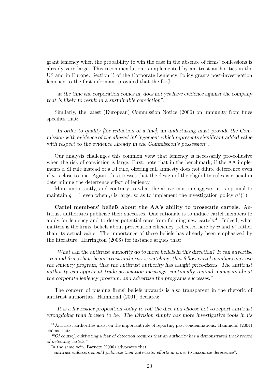grant leniency when the probability to win the case in the absence of firms' confessions is already very large. This recommendation is implemented by antitrust authorities in the US and in Europe. Section B of the Corporate Leniency Policy grants post-investigation leniency to the first informant provided that the DoJ,

"at the time the corporation comes in, does not yet have evidence against the company that is likely to result in a sustainable conviction".

Similarly, the latest (European) Commission Notice (2006) on immunity from fines specifies that:

"In order to qualify [for reduction of a fine], an undertaking must provide the Commission with evidence of the alleged infringement which represents significant added value with respect to the evidence already in the Commission's possession".

Our analysis challenges this common view that leniency is necessarily pro-collusive when the risk of conviction is large. First, note that in the benchmark, if the AA implements a SI rule instead of a FI rule, offering full amnesty does not dilute deterrence even if  $\mu$  is close to one. Again, this stresses that the design of the eligibility rules is crucial in determining the deterrence effect of leniency.

More importantly, and contrary to what the above motion suggests, it is optimal to maintain  $q = 1$  even when  $\mu$  is large, so as to implement the investigation policy  $\sigma^*(1)$ .

Cartel members' beliefs about the AA's ability to prosecute cartels. Antitrust authorities publicize their successes. One rationale is to induce cartel members to apply for leniency and to deter potential ones from forming new cartels.<sup>41</sup> Indeed, what matters is the firms' beliefs about prosecution efficiency (reflected here by  $\psi$  and  $\mu$ ) rather than its actual value. The importance of these beliefs has already been emphasized by the literature. Harrington (2006) for instance argues that:

"What can the antitrust authority do to move beliefs in this direction? It can advertise - remind firms that the antitrust authority is watching, that fellow cartel members may use the leniency program, that the antitrust authority has caught price-fixers. The antitrust authority can appear at trade association meetings, continually remind managers about the corporate leniency program, and advertise the programs successes."

The concern of pushing firms' beliefs upwards is also transparent in the rhetoric of antitrust authorities. Hammond (2001) declares:

"It is a far riskier proposition today to roll the dice and choose not to report antitrust wrongdoing than it used to be. The Division simply has more investigative tools in its

 $41$ Antitrust authorities insist on the important role of reporting past condemnations. Hammond (2004) claims that:

<sup>&</sup>quot;[Of course], cultivating a fear of detection requires that an authority has a demonstrated track record of detecting cartels."

In the same vein, Barnett (2006) advocates that:

<sup>&</sup>quot;antitrust enforcers should publicize their anti-cartel efforts in order to maximize deterrence".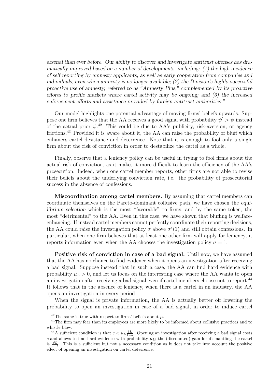arsenal than ever before. Our ability to discover and investigate antitrust offenses has dramatically improved based on a number of developments, including: (1) the high incidence of self reporting by amnesty applicants, as well as early cooperation from companies and individuals, even when amnesty is no longer available; (2) the Division's highly successful proactive use of amnesty, referred to as "Amnesty Plus," complemented by its proactive efforts to profile markets where cartel activity may be ongoing; and (3) the increased enforcement efforts and assistance provided by foreign antitrust authorities."

Our model highlights one potential advantage of moving firms' beliefs upwards. Suppose one firm believes that the AA receives a good signal with probability  $\psi' > \psi$  instead of the actual prior  $\psi$ <sup>42</sup> This could be due to AA's publicity, risk-aversion, or agency frictions.<sup>43</sup> Provided it is aware about it, the AA can raise the probability of bluff which enhances cartel desistance and deterrence. Note that it is enough to fool only a single firm about the risk of conviction in order to destabilize the cartel as a whole.

Finally, observe that a leniency policy can be useful in trying to fool firms about the actual risk of conviction, as it makes it more difficult to learn the efficiency of the AA's prosecution. Indeed, when one cartel member reports, other firms are not able to revise their beliefs about the underlying conviction rate, i.e. the probability of prosecutorial success in the absence of confessions.

Miscoordination among cartel members. By assuming that cartel members can coordinate themselves on the Pareto-dominant collusive path, we have chosen the equilibrium selection which is the most "favorable" to firms, and by the same token, the most "detrimental" to the AA. Even in this case, we have shown that bluffing is welfareenhancing. If instead cartel members cannot perfectly coordinate their reporting decisions, the AA could raise the investigation policy  $\sigma$  above  $\sigma^*(1)$  and still obtain confessions. In particular, when one firm believes that at least one other firm will apply for leniency, it reports information even when the AA chooses the investigation policy  $\sigma = 1$ .

Positive risk of conviction in case of a bad signal. Until now, we have assumed that the AA has no chance to find evidence when it opens an investigation after receiving a bad signal. Suppose instead that in such a case, the AA can find hard evidence with probability  $\mu_L > 0$ , and let us focus on the interesting case where the AA wants to open an investigation after receiving a bad signal even if cartel members choose not to report.<sup>44</sup> It follows that in the absence of leniency, when there is a cartel in an industry, the AA opens an investigation in every period.

When the signal is private information, the AA is actually better off lowering the probability to open an investigation in case of a bad signal, in order to induce cartel

<sup>&</sup>lt;sup>42</sup>The same is true with respect to firms' beliefs about  $\mu$ .

<sup>43</sup>The firm may fear than its employees are more likely to be informed about collusive practices and to whistle blow.

<sup>&</sup>lt;sup>44</sup>A sufficient condition is that  $c < \mu_L \frac{\delta L}{1-\delta}$ . Opening an investigation after receiving a bad signal costs c and allows to find hard evidence with probability  $\mu_L$ ; the (discounted) gain for dismantling the cartel is  $\frac{\delta L}{1-\delta}$ . This is a sufficient but not a necessary condition as it does not take into account the positive effect of opening an investigation on cartel deterrence.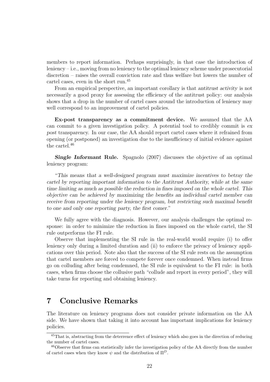members to report information. Perhaps surprisingly, in that case the introduction of leniency – i.e., moving from no leniency to the optimal leniency scheme under prosecutorial discretion – raises the overall conviction rate and thus welfare but lowers the number of cartel cases, even in the short run.<sup>45</sup>

From an empirical perspective, an important corollary is that antitrust activity is not necessarily a good proxy for assessing the efficiency of the antitrust policy: our analysis shows that a drop in the number of cartel cases around the introduction of leniency may well correspond to an improvement of cartel policies.

Ex-post transparency as a commitment device. We assumed that the AA can commit to a given investigation policy. A potential tool to credibly commit is ex post transparency. In our case, the AA should report cartel cases where it refrained from opening (or postponed) an investigation due to the insufficiency of initial evidence against the cartel.<sup>46</sup>

**Single Informant Rule.** Spagnolo (2007) discusses the objective of an optimal leniency program:

"This means that a well-designed program must maximize incentives to betray the cartel by reporting important information to the Antitrust Authority, while at the same time limiting as much as possible the reduction in fines imposed on the whole cartel. This objective can be achieved by maximizing the benefits an individual cartel member can receive from reporting under the leniency program, but restricting such maximal benefit to one and only one reporting party, the first comer."

We fully agree with the diagnosis. However, our analysis challenges the optimal response: in order to minimize the reduction in fines imposed on the whole cartel, the SI rule outperforms the FI rule.

Observe that implementing the SI rule in the real-world would require (i) to offer leniency only during a limited duration and (ii) to enforce the privacy of leniency applications over this period. Note also that the success of the SI rule rests on the assumption that cartel members are forced to compete forever once condemned. When instead firms go on colluding after being condemned, the SI rule is equivalent to the FI rule: in both cases, when firms choose the collusive path "collude and report in every period", they will take turns for reporting and obtaining leniency.

# 7 Conclusive Remarks

The literature on leniency programs does not consider private information on the AA side. We have shown that taking it into account has important implications for leniency policies.

<sup>45</sup>That is, abstracting from the deterrence effect of leniency which also goes in the direction of reducing the number of cartel cases.

<sup>46</sup>Observe that firms can statistically infer the investigation policy of the AA directly from the number of cartel cases when they know  $\psi$  and the distribution of  $\Pi^D$ .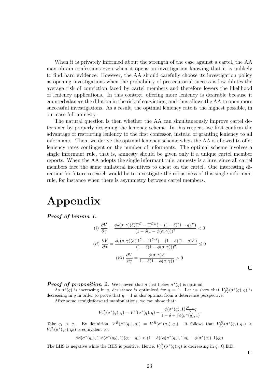When it is privately informed about the strength of the case against a cartel, the AA may obtain confessions even when it opens an investigation knowing that it is unlikely to find hard evidence. However, the AA should carefully choose its investigation policy as opening investigations when the probability of prosecutorial success is low dilutes the average risk of conviction faced by cartel members and therefore lowers the likelihood of leniency applications. In this context, offering more leniency is desirable because it counterbalances the dilution in the risk of conviction, and thus allows the AA to open more successful investigations. As a result, the optimal leniency rate is the highest possible, in our case full amnesty.

The natural question is then whether the AA can simultaneously improve cartel deterrence by properly designing the leniency scheme. In this respect, we first confirm the advantage of restricting leniency to the first confessor, instead of granting leniency to all informants. Then, we derive the optimal leniency scheme when the AA is allowed to offer leniency rates contingent on the number of informants. The optimal scheme involves a single informant rule, that is, amnesty should be given only if a unique cartel member reports. When the AA adopts the single informant rule, amnesty is a lure, since all cartel members face the same unilateral incentives to cheat on the cartel. One interesting direction for future research would be to investigate the robustness of this single informant rule, for instance when there is asymmetry between cartel members.

# Appendix

Proof of lemma 1.

$$
(i) \frac{\partial V}{\partial \gamma} = \frac{\phi_2(\sigma, \gamma)(\delta(\Pi^C - \Pi^{Col}) - (1 - \delta)(1 - q)F)}{(1 - \delta(1 - \phi(\sigma, \gamma)))^2} < 0
$$
  

$$
(ii) \frac{\partial V}{\partial \sigma} = \frac{\phi_1(\sigma, \gamma)(\delta(\Pi^C - \Pi^{Col}) - (1 - \delta)(1 - q)F)}{(1 - \delta(1 - \phi(\sigma, \gamma)))^2} \le 0
$$
  

$$
(iii) \frac{\partial V}{\partial q} = \frac{\phi(\sigma, \gamma)F}{1 - \delta(1 - \phi(\sigma, \gamma))} > 0
$$

**Proof of proposition 2.** We showed that  $\sigma$  just below  $\sigma^*(q)$  is optimal.

As  $\sigma^*(q)$  is increasing in q, desistance is optimized for  $q = 1$ . Let us show that  $V_{FI}^R(\sigma^*(q), q)$  is decreasing in q in order to prove that  $q = 1$  is also optimal from a deterrence perspective.

After some straightforward manipulations, we can show that:

$$
V_{FI}^R(\sigma^*(q),q) = V^R(\sigma^*(q),q) - \frac{\phi(\sigma^*(q),1)\frac{N-1}{N}q}{1-\delta+\delta\phi(\sigma^*(q),1)}
$$

Take  $q_1 > q_0$ . By definition,  $V^R(\sigma^*(q_1), q_1) = V^R(\sigma^*(q_0), q_0)$ . It follows that  $V^R_{FI}(\sigma^*(q_1), q_1)$  $V_{FI}^{R}(\sigma^*(q_0), q_0)$  is equivalent to:

$$
\delta\phi(\sigma^*(q_1),1)\phi(\sigma^*(q_0),1)(q_0-q_1) < (1-\delta)(\phi(\sigma^*(q_1),1)q_1 - \phi(\sigma^*(q_0),1)q_0)
$$

The LHS is negative while the RHS is positive. Hence,  $V_{FI}^{R}(\sigma^*(q), q)$  is decreasing in q. Q.E.D.

 $\Box$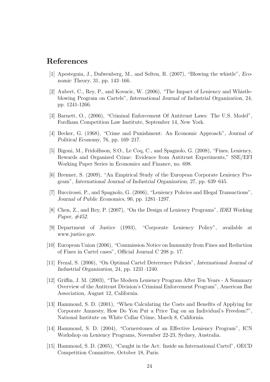# References

- [1] Apesteguia, J., Dufwenberg, M., and Selten, R. (2007), "Blowing the whistle", Economic Theory, 31, pp. 143–166.
- [2] Aubert, C., Rey, P., and Kovacic, W. (2006), "The Impact of Leniency and Whistleblowing Program on Cartels", International Journal of Industrial Organization, 24, pp. 1241-1266.
- [3] Barnett, O., (2006), "Criminal Enforcement Of Antitrust Laws: The U.S. Model", Fordham Competition Law Institute, September 14, New York.
- [4] Becker, G. (1968), "Crime and Punishment: An Economic Approach", Journal of Political Economy, 76, pp. 169–217.
- [5] Bigoni, M., Fridolfsson, S.O., Le Coq, C., and Spagnolo, G. (2008), "Fines, Leniency, Rewards and Organized Crime: Evidence from Antitrust Experiments," SSE/EFI Working Paper Series in Economics and Finance, no. 698.
- [6] Brenner, S. (2009), "An Empirical Study of the European Corporate Leniency Program", International Journal of Industrial Organization, 27, pp. 639–645.
- [7] Buccirossi, P., and Spagnolo, G. (2006), "Leniency Policies and Illegal Transactions", Journal of Public Economics, 90, pp. 1281–1297.
- [8] Chen, Z., and Rey, P. (2007), "On the Design of Leniency Programs", IDEI Working Paper, #452.
- [9] Department of Justice (1993), "Corporate Leniency Policy", available at www.justice.gov.
- [10] European Union (2006), "Commission Notice on Immunity from Fines and Reduction of Fines in Cartel cases", Official Journal C 298 p. 17.
- [11] Frezal, S. (2006), "On Optimal Cartel Deterrence Policies", International Journal of Industrial Organization, 24, pp. 1231–1240.
- [12] Griffin, J. M. (2003), "The Modern Leniency Program After Ten Years A Summary Overview of the Antitrust Division's Criminal Enforcement Program", American Bar Association, August 12, California.
- [13] Hammond, S. D. (2001), "When Calculating the Costs and Benefits of Applying for Corporate Amnesty, How Do You Put a Price Tag on an Individual's Freedom?", National Institute on White Collar Crime, March 8, California.
- [14] Hammond, S. D. (2004), "Cornerstones of an Effective Leniency Program", ICN Workshop on Leniency Programs, November 22-23, Sydney, Australia.
- [15] Hammond, S. D. (2005), "Caught in the Act: Inside an International Cartel", OECD Competition Committee, October 18, Paris.